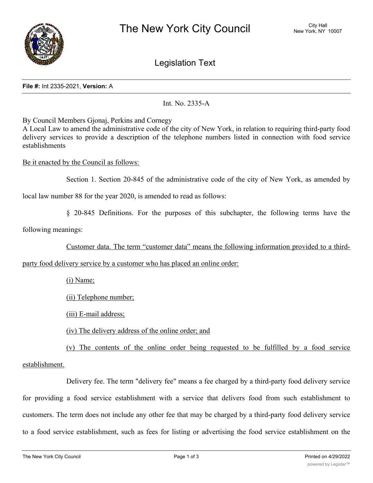

Legislation Text

## **File #:** Int 2335-2021, **Version:** A

Int. No. 2335-A

By Council Members Gjonaj, Perkins and Cornegy

A Local Law to amend the administrative code of the city of New York, in relation to requiring third-party food delivery services to provide a description of the telephone numbers listed in connection with food service establishments

Be it enacted by the Council as follows:

Section 1. Section 20-845 of the administrative code of the city of New York, as amended by

local law number 88 for the year 2020, is amended to read as follows:

§ 20-845 Definitions. For the purposes of this subchapter, the following terms have the

following meanings:

Customer data. The term "customer data" means the following information provided to a third-

party food delivery service by a customer who has placed an online order:

(i) Name;

(ii) Telephone number;

(iii) E-mail address;

(iv) The delivery address of the online order; and

(v) The contents of the online order being requested to be fulfilled by a food service

## establishment.

Delivery fee. The term "delivery fee" means a fee charged by a third-party food delivery service for providing a food service establishment with a service that delivers food from such establishment to customers. The term does not include any other fee that may be charged by a third-party food delivery service to a food service establishment, such as fees for listing or advertising the food service establishment on the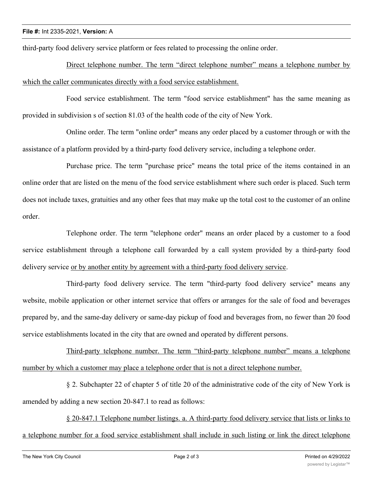third-party food delivery service platform or fees related to processing the online order.

Direct telephone number. The term "direct telephone number" means a telephone number by which the caller communicates directly with a food service establishment.

Food service establishment. The term "food service establishment" has the same meaning as provided in subdivision s of section 81.03 of the health code of the city of New York.

Online order. The term "online order" means any order placed by a customer through or with the assistance of a platform provided by a third-party food delivery service, including a telephone order.

Purchase price. The term "purchase price" means the total price of the items contained in an online order that are listed on the menu of the food service establishment where such order is placed. Such term does not include taxes, gratuities and any other fees that may make up the total cost to the customer of an online order.

Telephone order. The term "telephone order" means an order placed by a customer to a food service establishment through a telephone call forwarded by a call system provided by a third-party food delivery service or by another entity by agreement with a third-party food delivery service.

Third-party food delivery service. The term "third-party food delivery service" means any website, mobile application or other internet service that offers or arranges for the sale of food and beverages prepared by, and the same-day delivery or same-day pickup of food and beverages from, no fewer than 20 food service establishments located in the city that are owned and operated by different persons.

Third-party telephone number. The term "third-party telephone number" means a telephone number by which a customer may place a telephone order that is not a direct telephone number.

§ 2. Subchapter 22 of chapter 5 of title 20 of the administrative code of the city of New York is amended by adding a new section 20-847.1 to read as follows:

§ 20-847.1 Telephone number listings. a. A third-party food delivery service that lists or links to a telephone number for a food service establishment shall include in such listing or link the direct telephone